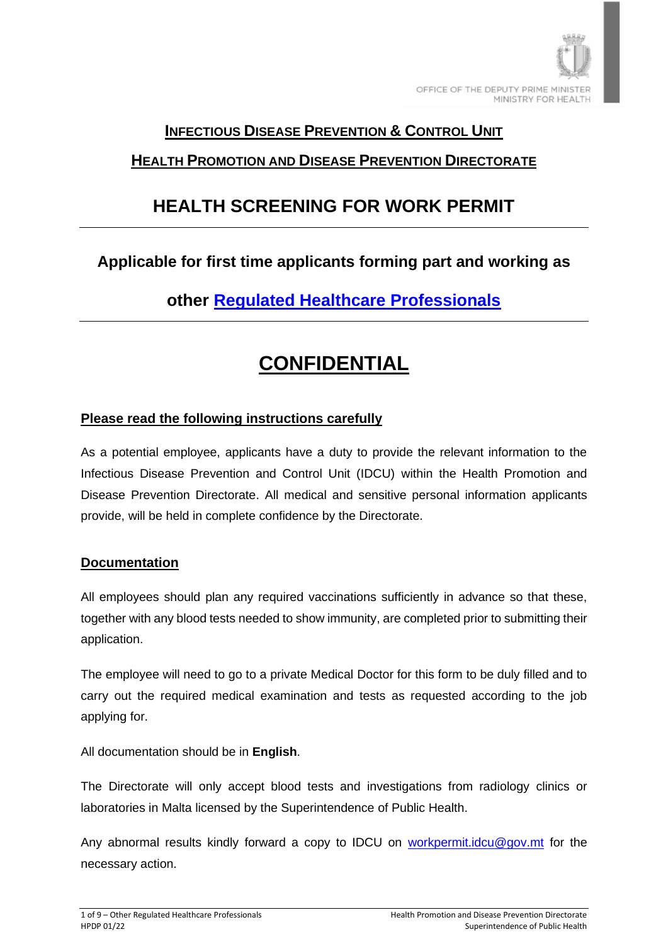

### **INFECTIOUS DISEASE PREVENTION & CONTROL UNIT**

### **HEALTH PROMOTION AND DISEASE PREVENTION DIRECTORATE**

# **HEALTH SCREENING FOR WORK PERMIT**

## **Applicable for first time applicants forming part and working as**

**[other Regulated Healthcare Professionals](https://mfhea.mt/%E2%80%8B%E2%80%8B%E2%80%8B%E2%80%8Blist-of-regulated-professions-and-competent-authorities-or-assistance-centres/)**

# **CONFIDENTIAL**

### **Please read the following instructions carefully**

As a potential employee, applicants have a duty to provide the relevant information to the Infectious Disease Prevention and Control Unit (IDCU) within the Health Promotion and Disease Prevention Directorate. All medical and sensitive personal information applicants provide, will be held in complete confidence by the Directorate.

#### **Documentation**

All employees should plan any required vaccinations sufficiently in advance so that these, together with any blood tests needed to show immunity, are completed prior to submitting their application.

The employee will need to go to a private Medical Doctor for this form to be duly filled and to carry out the required medical examination and tests as requested according to the job applying for.

All documentation should be in **English**.

The Directorate will only accept blood tests and investigations from radiology clinics or laboratories in Malta licensed by the Superintendence of Public Health.

Any abnormal results kindly forward a copy to IDCU on [workpermit.idcu@gov.mt](mailto:workpermit.idcu@gov.mt) for the necessary action.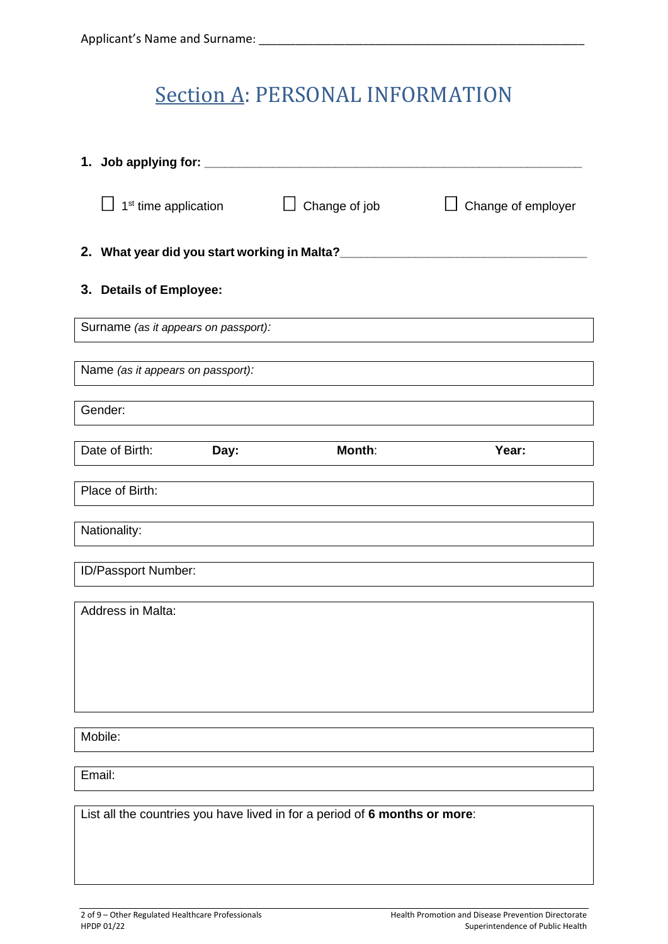# Section A: PERSONAL INFORMATION

| 1. Job applying for: _______ |                                                                            |                                  |               |                    |  |
|------------------------------|----------------------------------------------------------------------------|----------------------------------|---------------|--------------------|--|
|                              |                                                                            | 1 <sup>st</sup> time application | Change of job | Change of employer |  |
|                              |                                                                            |                                  |               |                    |  |
|                              | 3. Details of Employee:                                                    |                                  |               |                    |  |
|                              | Surname (as it appears on passport):                                       |                                  |               |                    |  |
|                              | Name (as it appears on passport):                                          |                                  |               |                    |  |
|                              | Gender:                                                                    |                                  |               |                    |  |
|                              | Date of Birth:                                                             | Day:                             | Month:        | Year:              |  |
|                              | Place of Birth:                                                            |                                  |               |                    |  |
|                              | Nationality:                                                               |                                  |               |                    |  |
|                              | ID/Passport Number:                                                        |                                  |               |                    |  |
|                              |                                                                            |                                  |               |                    |  |
|                              | Address in Malta:                                                          |                                  |               |                    |  |
|                              |                                                                            |                                  |               |                    |  |
|                              |                                                                            |                                  |               |                    |  |
|                              |                                                                            |                                  |               |                    |  |
| Mobile:                      |                                                                            |                                  |               |                    |  |
|                              | Email:                                                                     |                                  |               |                    |  |
|                              |                                                                            |                                  |               |                    |  |
|                              | List all the countries you have lived in for a period of 6 months or more: |                                  |               |                    |  |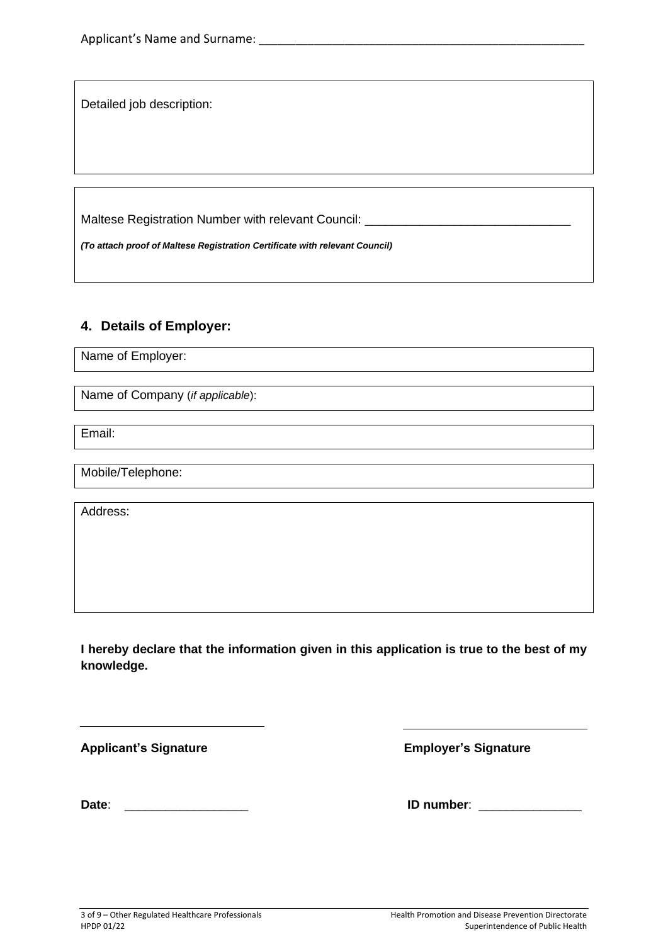Detailed job description:

Maltese Registration Number with relevant Council:

*(To attach proof of Maltese Registration Certificate with relevant Council)*

#### **4. Details of Employer:**

Name of Employer:

Name of Company (*if applicable*):

Email:

Mobile/Telephone:

Address:

**I hereby declare that the information given in this application is true to the best of my knowledge.**

**Applicant's Signature Employer's Signature** 

 $\overline{a}$ 

**Date**: \_\_\_\_\_\_\_\_\_\_\_\_\_\_\_\_\_\_ **ID number**: \_\_\_\_\_\_\_\_\_\_\_\_\_\_\_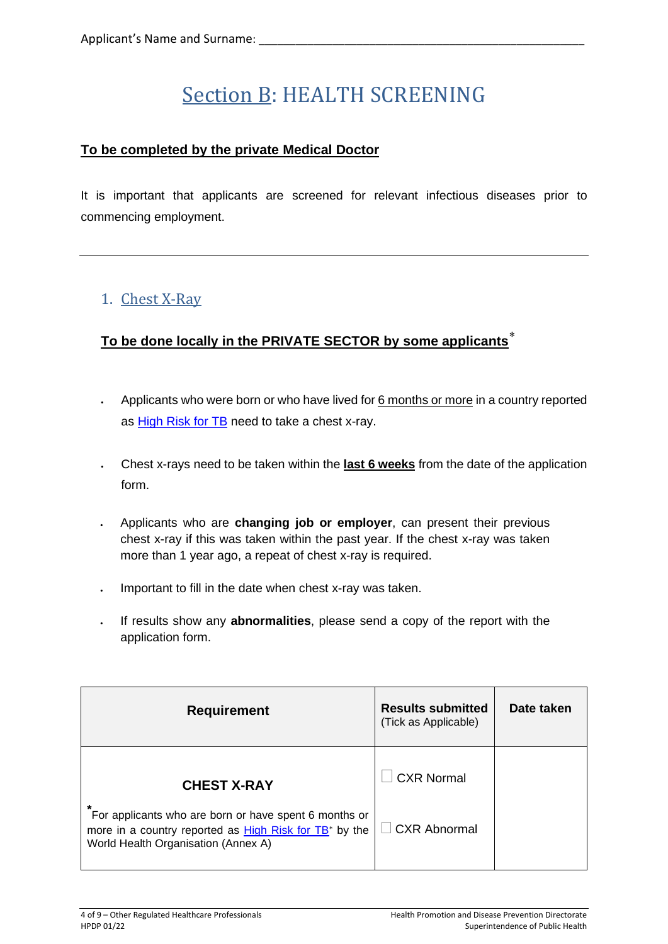# Section B: HEALTH SCREENING

### **To be completed by the private Medical Doctor**

It is important that applicants are screened for relevant infectious diseases prior to commencing employment.

## 1. Chest X-Ray

### **To be done locally in the PRIVATE SECTOR by some applicants**

- Applicants who were born or who have lived for 6 months or more in a country reported as **High Risk for TB** need to take a chest x-ray.
- Chest x-rays need to be taken within the **last 6 weeks** from the date of the application form.
- Applicants who are **changing job or employer**, can present their previous chest x-ray if this was taken within the past year. If the chest x-ray was taken more than 1 year ago, a repeat of chest x-ray is required.
- Important to fill in the date when chest x-ray was taken.
- If results show any **abnormalities**, please send a copy of the report with the application form.

| <b>Requirement</b>                                                                                                                                                      | <b>Results submitted</b><br>(Tick as Applicable) | Date taken |
|-------------------------------------------------------------------------------------------------------------------------------------------------------------------------|--------------------------------------------------|------------|
| <b>CHEST X-RAY</b>                                                                                                                                                      | <b>CXR Normal</b>                                |            |
| *<br>For applicants who are born or have spent 6 months or<br>more in a country reported as High Risk for TB <sup>*</sup> by the<br>World Health Organisation (Annex A) | CXR Abnormal                                     |            |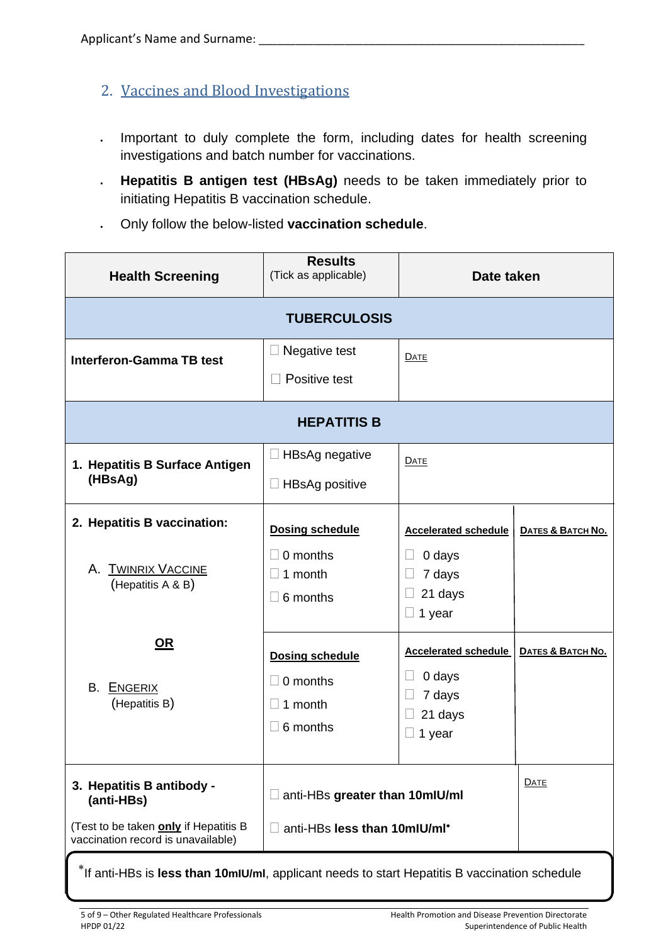- 2. Vaccines and Blood Investigations
- Important to duly complete the form, including dates for health screening investigations and batch number for vaccinations.
- **Hepatitis B antigen test (HBsAg)** needs to be taken immediately prior to initiating Hepatitis B vaccination schedule.
- Only follow the below-listed **vaccination schedule**.

| <b>Health Screening</b>                                                                                                | <b>Results</b><br>(Tick as applicable)                                               | Date taken                                                           |                   |  |  |
|------------------------------------------------------------------------------------------------------------------------|--------------------------------------------------------------------------------------|----------------------------------------------------------------------|-------------------|--|--|
|                                                                                                                        | <b>TUBERCULOSIS</b>                                                                  |                                                                      |                   |  |  |
| <b>Interferon-Gamma TB test</b>                                                                                        | Negative test<br>$\Box$<br>Positive test                                             | <b>DATE</b>                                                          |                   |  |  |
| <b>HEPATITIS B</b>                                                                                                     |                                                                                      |                                                                      |                   |  |  |
| 1. Hepatitis B Surface Antigen<br>(HBsAg)                                                                              | $\Box$ HBsAg negative<br>$\Box$ HBsAg positive                                       | <b>DATE</b>                                                          |                   |  |  |
| 2. Hepatitis B vaccination:<br><b>TWINRIX VACCINE</b><br>Α.<br>(Hepatitis A & B)                                       | <b>Dosing schedule</b><br>0 months<br>$\Box$<br>1 month<br>$\Box$<br>$\Box$ 6 months | <b>Accelerated schedule</b><br>0 days<br>7 days<br>21 days<br>1 year | DATES & BATCH NO. |  |  |
| <u>OR</u><br>В.<br>ENGERIX<br>(Hepatitis B)                                                                            | <b>Dosing schedule</b><br>$\Box$ 0 months<br>1 month<br>$\Box$<br>$\Box$ 6 months    | <b>Accelerated schedule</b><br>0 days<br>7 days<br>21 days<br>1 year | DATES & BATCH NO. |  |  |
| 3. Hepatitis B antibody -<br>(anti-HBs)<br>(Test to be taken only if Hepatitis B<br>vaccination record is unavailable) | anti-HBs greater than 10mlU/ml<br>anti-HBs less than 10mlU/ml*<br>$\Box$             |                                                                      | <b>DATE</b>       |  |  |

If anti-HBs is **less than 10mIU/ml**, applicant needs to start Hepatitis B vaccination schedule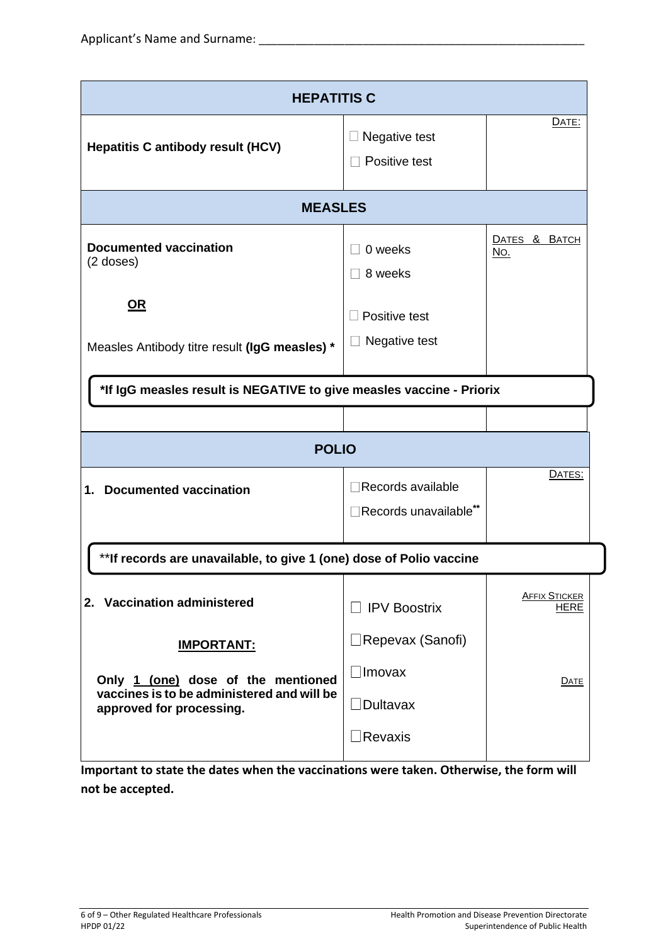| <b>HEPATITIS C</b>                                                                                                                |                                                       |                              |  |
|-----------------------------------------------------------------------------------------------------------------------------------|-------------------------------------------------------|------------------------------|--|
| <b>Hepatitis C antibody result (HCV)</b>                                                                                          | Negative test<br>Positive test                        | DATE:                        |  |
| <b>MEASLES</b>                                                                                                                    |                                                       |                              |  |
| <b>Documented vaccination</b><br>$(2$ doses)                                                                                      | 0 weeks<br>8 weeks                                    | DATES & BATCH<br>No.         |  |
| <u>OR</u><br>Measles Antibody titre result (IgG measles) *                                                                        | Positive test<br>Negative test                        |                              |  |
| *If IgG measles result is NEGATIVE to give measles vaccine - Priorix                                                              |                                                       |                              |  |
|                                                                                                                                   |                                                       |                              |  |
| <b>POLIO</b>                                                                                                                      |                                                       |                              |  |
| <b>Documented vaccination</b><br>1.                                                                                               | Records available<br>Records unavailable**            | DATES:                       |  |
| ** If records are unavailable, to give 1 (one) dose of Polio vaccine                                                              |                                                       |                              |  |
| 2. Vaccination administered                                                                                                       | <b>IPV Boostrix</b>                                   | <b>AFFIX STICKER</b><br>HERE |  |
| <b>IMPORTANT:</b><br>Only 1 (one) dose of the mentioned<br>vaccines is to be administered and will be<br>approved for processing. | ⊥Repevax (Sanofi)<br>$\Box$ Imovax<br>$\Box$ Dultavax | DATE                         |  |
|                                                                                                                                   | Revaxis                                               |                              |  |

**Important to state the dates when the vaccinations were taken. Otherwise, the form will not be accepted.**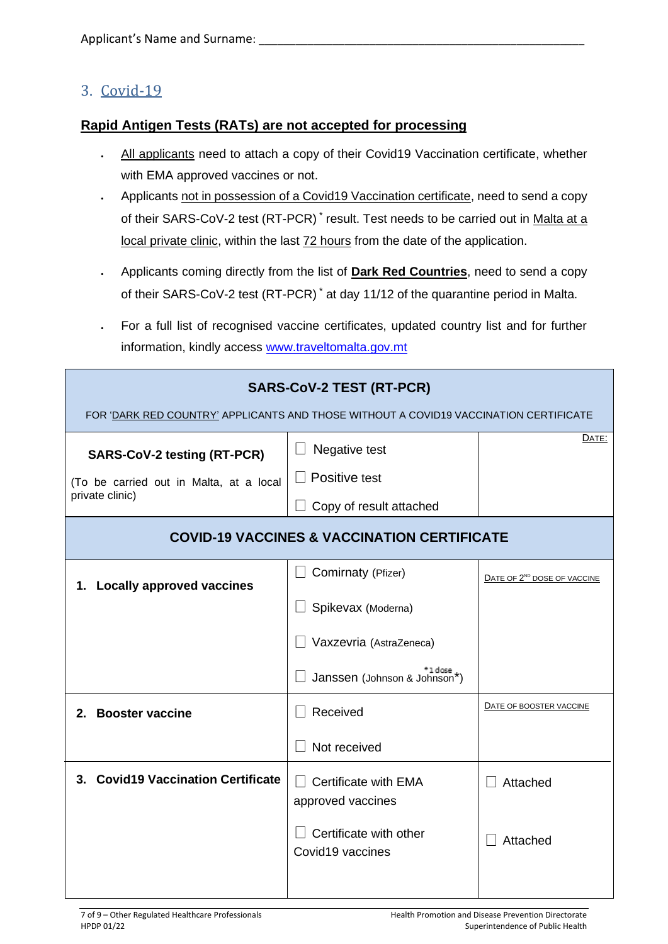### 3. Covid-19

#### **Rapid Antigen Tests (RATs) are not accepted for processing**

- All applicants need to attach a copy of their Covid19 Vaccination certificate, whether with EMA approved vaccines or not.
- Applicants not in possession of a Covid19 Vaccination certificate, need to send a copy of their SARS-CoV-2 test (RT-PCR)<sup>\*</sup> result. Test needs to be carried out in Malta at a local private clinic, within the last 72 hours from the date of the application.
- Applicants coming directly from the list of **Dark Red Countries**, need to send a copy of their SARS-CoV-2 test (RT-PCR) \* at day 11/12 of the quarantine period in Malta.
- For a full list of recognised vaccine certificates, updated country list and for further information, kindly access [www.traveltomalta.gov.mt](http://www.traveltomalta.gov.mt/)

| <b>SARS-CoV-2 TEST (RT-PCR)</b><br>FOR 'DARK RED COUNTRY' APPLICANTS AND THOSE WITHOUT A COVID19 VACCINATION CERTIFICATE |                                                                                                |                                         |  |
|--------------------------------------------------------------------------------------------------------------------------|------------------------------------------------------------------------------------------------|-----------------------------------------|--|
| <b>SARS-CoV-2 testing (RT-PCR)</b><br>(To be carried out in Malta, at a local<br>private clinic)                         | Negative test<br>Positive test<br>Copy of result attached                                      | DATE:                                   |  |
| <b>COVID-19 VACCINES &amp; VACCINATION CERTIFICATE</b>                                                                   |                                                                                                |                                         |  |
| <b>Locally approved vaccines</b><br>1.                                                                                   | Comirnaty (Pfizer)<br>Spikevax (Moderna)<br>Vaxzevria (AstraZeneca)                            | DATE OF 2 <sup>ND</sup> DOSE OF VACCINE |  |
|                                                                                                                          | <sup>+1 dose</sup><br>Janssen (Johnson & Johnson*)                                             |                                         |  |
| 2. Booster vaccine                                                                                                       | Received<br>Not received                                                                       | DATE OF BOOSTER VACCINE                 |  |
| 3. Covid19 Vaccination Certificate                                                                                       | <b>Certificate with EMA</b><br>approved vaccines<br>Certificate with other<br>Covid19 vaccines | Attached<br>Attached                    |  |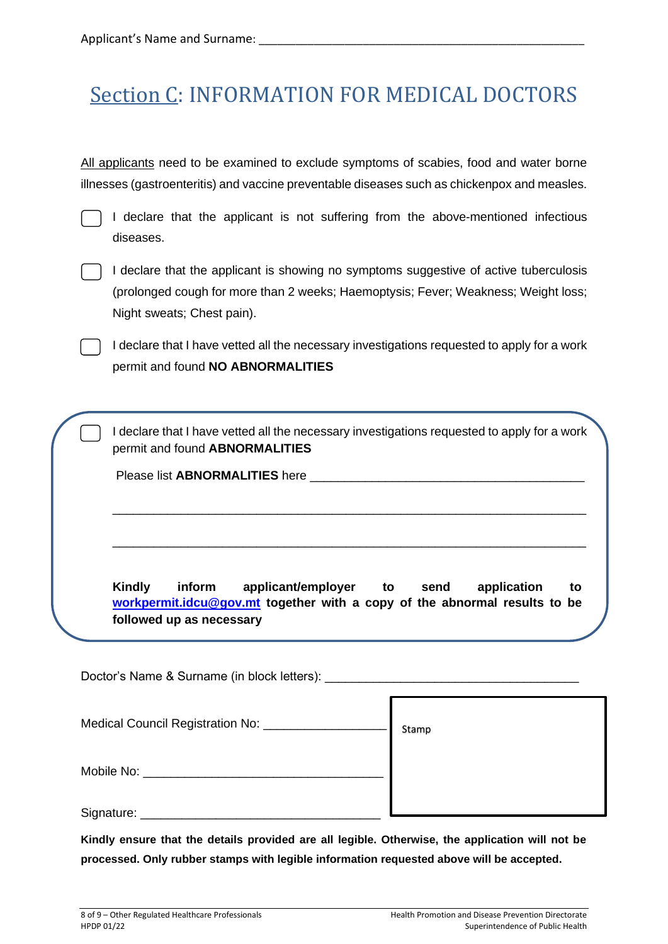# Section C: INFORMATION FOR MEDICAL DOCTORS

All applicants need to be examined to exclude symptoms of scabies, food and water borne illnesses (gastroenteritis) and vaccine preventable diseases such as chickenpox and measles.

I declare that the applicant is not suffering from the above-mentioned infectious diseases.



I declare that the applicant is showing no symptoms suggestive of active tuberculosis (prolonged cough for more than 2 weeks; Haemoptysis; Fever; Weakness; Weight loss; Night sweats; Chest pain).

I declare that I have vetted all the necessary investigations requested to apply for a work permit and found **NO ABNORMALITIES**

I declare that I have vetted all the necessary investigations requested to apply for a work permit and found **ABNORMALITIES**

\_\_\_\_\_\_\_\_\_\_\_\_\_\_\_\_\_\_\_\_\_\_\_\_\_\_\_\_\_\_\_\_\_\_\_\_\_\_\_\_\_\_\_\_\_\_\_\_\_\_\_\_\_\_\_\_\_\_\_\_\_\_\_\_\_\_\_\_\_

\_\_\_\_\_\_\_\_\_\_\_\_\_\_\_\_\_\_\_\_\_\_\_\_\_\_\_\_\_\_\_\_\_\_\_\_\_\_\_\_\_\_\_\_\_\_\_\_\_\_\_\_\_\_\_\_\_\_\_\_\_\_\_\_\_\_\_\_\_

Please list **ABNORMALITIES** here **with a set of the set of the set of the set of the set of the set of the set of the set of the set of the set of the set of the set of the set of the set of the set of the set of the set o** 

**Kindly inform applicant/employer to send application to [workpermit.idcu@gov.mt](mailto:workpermit.idcu@gov.mt) together with a copy of the abnormal results to be followed up as necessary**

Doctor's Name & Surname (in block letters): Medical Council Registration No: \_\_\_\_\_\_\_\_\_\_\_\_ Mobile No: **with the set of the set of the set of the set of the set of the set of the set of the set of the set of the set of the set of the set of the set of the set of the set of the set of the set of the set of the set** Signature: \_\_\_\_\_\_\_\_\_\_\_\_\_\_\_\_\_\_\_\_\_\_\_\_\_\_\_\_\_\_\_\_\_\_\_ Stamp

**Kindly ensure that the details provided are all legible. Otherwise, the application will not be processed. Only rubber stamps with legible information requested above will be accepted.**